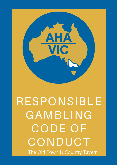

# RESPONSIBLE GAMBLING CODE OF CONDUCT The Old Town N Country Tavern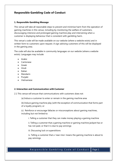# **Responsible Gambling Code of Conduct**

#### **1. Responsible Gambling Message**

This venue will take all reasonable steps to prevent and minimise harm from the operation of gaming machines in this venue, including by monitoring the welfare of customers, discouraging intensive and prolonged gaming machine play and intervening when a customer is displaying behaviour that is consistent with gambling harm.

This venue's code will be made available on our website (where a website exists) and in written form to customers upon request. A sign advising customers of this will be displayed in the gaming area.

The code will also be available in community languages on our website (where a website exists). Languages may include:

- Arabic
- Cantonese
- Greek
- Hindi
- Italian
- Mandarin
- Punjabi
- Vietnamese

#### **2. Interaction and Communication with Customer**

2.1 This venue will ensure that communications with customers does not:

(a) Induce a customer to enter or remain in the gaming machine area

(b) Induce gaming machine play (with the exception of communication that forms part of a loyalty program), or

(c) Reinforce or encourage fallacies or misconceptions about gaming machines, including but not limited to:

i. Telling a customer that they can make money playing a gaming machine

ii. Telling a customer that a gaming machine or gaming machine jackpot has or has not paid, or that it is due to pay winnings

iii. Discussing luck or superstitions

iv. Telling a customer that a 'near miss' means the gaming machine is about to pay winnings

#### R e sponsible Gambling Code of Conduct Page 1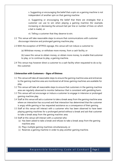v. Suggesting or encouraging the belief that a spin on a gaming machine is not independent of another spin on that gaming machine

vi. Suggesting or encouraging the belief that there are strategies that a customer can use to win when playing a gaming machine (for example, increasing or decreasing the amount bet per line or number of lines on which a bet is made), or

vii. Telling a customer that they deserve to win.

- 2.2 This venue will take reasonable steps to ensure that communications with customer discourage intensive and prolonged gaming machine play.
- 2.3 With the exception of EFTPOS signage, this venue will not induce a customer to:
	- (a) Withdraw money, or withdraw more money, from a cash facility, or
	- (b) Leave this venue to obtain money, or obtain more money, to enable that customer to play, or to continue to play, a gaming machine.
- 2.4 This venue may however direct a customer to a cash facility when requested to do so by the customer.

#### **3.Interaction with Customers – Signs of Distress**

- 3.1 This venue will take all reasonable steps to ensure the gaming machine area and entrances to the gaming machine area are monitored at all times gaming machines are available for play.
- 3.2 This venue will take all reasonable steps to ensure that customers in the gaming machine area are regularly observed to monitor behaviour that is consistent with gambling harm.
- 3.3 This venue will not encourage or induce a customer to engage in intensive or prolonged gaming machine play.
- 3.4 Staff at this venue will ask a customer to take a break away from the gaming machine area where an interaction has occurred and that interaction has determined that the customer is angry while gaming or has requested assistance as a consequence of their gaming.
- 3.5 Staff at this venue will interact with a customer who has been observed to have been playing gaming machines for a prolonged period without a break and ask that customer to take a break away from the gaming machine area.
- 3.6 Staff at this venue will interact with a customer who:
	- (a) Has been asked to take a break and refuses to take a break away from the gaming machine area
	- (b) Plays multiple gaming machines simultaneously, or
	- (c) Reserves a gaming machine in order to play another gaming machine.

# Responsible Gambling Code of Conduct Page 2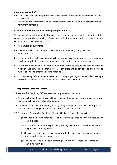#### **4.Gaming Venue Staff**

- 4.1 Staff at this venue are not permitted to play a gaming machine on a rostered day of work at this venue.
- 4.2 This venue provides information to staff so that they are aware of their increased risk of harm from gambling.

#### **5. Interaction with Problem Gambling Support Services**

This venue will ensure that staff who have day-to-day management of the operation of this venue and responsible gambling officers meet with this venue's nominated venue support worker at least once every six months.

#### **6. The Gambling Environment**

- 6.1 This venue will not encourage a customer to play multiple gaming machines simultaneously.
- 6.2 This venue will take all reasonable steps to discourage a customer from reserving a gaming machine in order to play another gaming machine in the gaming machine area.
- 6.3 During the opening hours of food and beverage facilities outside the gaming machine floor, this venue will ensure that a customer can order and be served food and beverage without having to enter the gaming machine area.
- 6.4 This venue may offer a customer seated at or playing a gaming machine food or beverage provided it is offered as part of an interaction with that customer.

#### **7. Responsible Gambling Officer**

- 7.1 Responsible Gambling Officers have been appointed at this venue.
- 7.2 A Responsible Gambling Officer will be available in the gaming machine area at all times gaming machines are available for gaming.
- 7.3 This venue will display prominently in the gaming machine area a notice advising that a Responsible Gambling Officer is available for assistance at all times.
- 7.4 This venue's Responsible Gambling Officer will take all reasonable steps to:
	- (a) Monitor the gaming machine area and ensure compliance with the Act, regulations and this code
	- (b) Ensure that staff record responsible gambling incidents and interventions in the responsible gambling register
	- (c) Observe customers who display behaviour that is consistent with gambling harm and provide assistance as necessary
	- (d) Provide advice to staff about gambling harm and how to respond to signs of gambling harm, and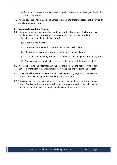- (e) Respond to customer enquiries and complaints about the supply of gambling in the approved venue.
- 7.5 This venue's Responsible Gambling Officer will complete prescribed responsible service of gambling training, if any.

#### **8 Responsible Gambling Register**

- 8.1 This venue maintains a responsible gambling register. The details of all responsible gambling incidents and interventions are recorded in this register, including:
	- (a) Date and time the incident occurred
	- (b) Details of the incident
	- (c) Details of the intervention made in response to the incident
	- (d) Details of the customer's response to the intervention, if known
	- (e) Date and time the entry was recorded in the responsible gambling register, and
	- (f) The name of the individual, if this is provided voluntarily by that individual.
- 8.2 This venue retains the information in the responsible gambling register for not less than six months from the day it was recorded in the responsible gambling register.
- 8.3 This venue will provide a copy of the responsible gambling register to the Victorian Commission for Gambling and Liquor Regulation on request.
- 8.4 This venue may provide information in the responsible gambling register to a Venue Support Worker for training and development purposes provided that information does not include the name or identifying characteristics of any customer.

## Responsible Gambling Code of Conduct | Page 4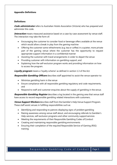#### **Appendix-Definitions**

#### **Definitions**

**Code administrator** refers to Australian Hotels Association (Victoria) who has prepared and administer this code.

**Interaction** means measured assistance based on a case-by-case assessment by venue staff. The interaction may take the form of:

- Encouraging the customer to consider food or beverage offers available at the venue which would allow a break in play from the gaming machine
- Offering the customer some refreshments (e.g. tea or coffee) in a quieter, more private part of the gaming venue where the customer has the opportunity to request appropriate support information in a confidential manner
- Assisting the customer with travel arrangements in order to depart the venue
- Providing customer with information on gambling support, and
- Explaining how the self-exclusion program works and providing information on how to access the program.

**Loyalty program** means a 'loyalty scheme' as defined in section 1.3 of the Act.

**Responsible Gambling Officers** describes staff appointed to assist the venue operator to:

- Minimise gambling harm in the venue
- Ensure compliance with all responsible gambling regulatory and code requirements, and
- Respond to staff and customer enquiries about the supply of gambling in the venue.

**Responsible Gambling Register** describes a log located in the gaming area that venue staff have access to record responsible gambling related interactions with customers.

**Venue Support Workers** describes staff from the Gambler's Help Venue Support Program. These staff assist venues in fulfilling responsibilities such as:

- Identifying and responding to patrons displaying signs of problem gambling
- Raising awareness among venue staff about, and encouraging referrals to Gambler's Help services, self-exclusion programs and other community support services
- Meeting the requirements of their Responsible Gambling Codes of Conduct
- Creating and maintaining responsible gambling environments
- Ensuring their completion of the required Responsible Service of Gaming (RSG) training.

## Responsible Gambling Code of Conduct | Page 5